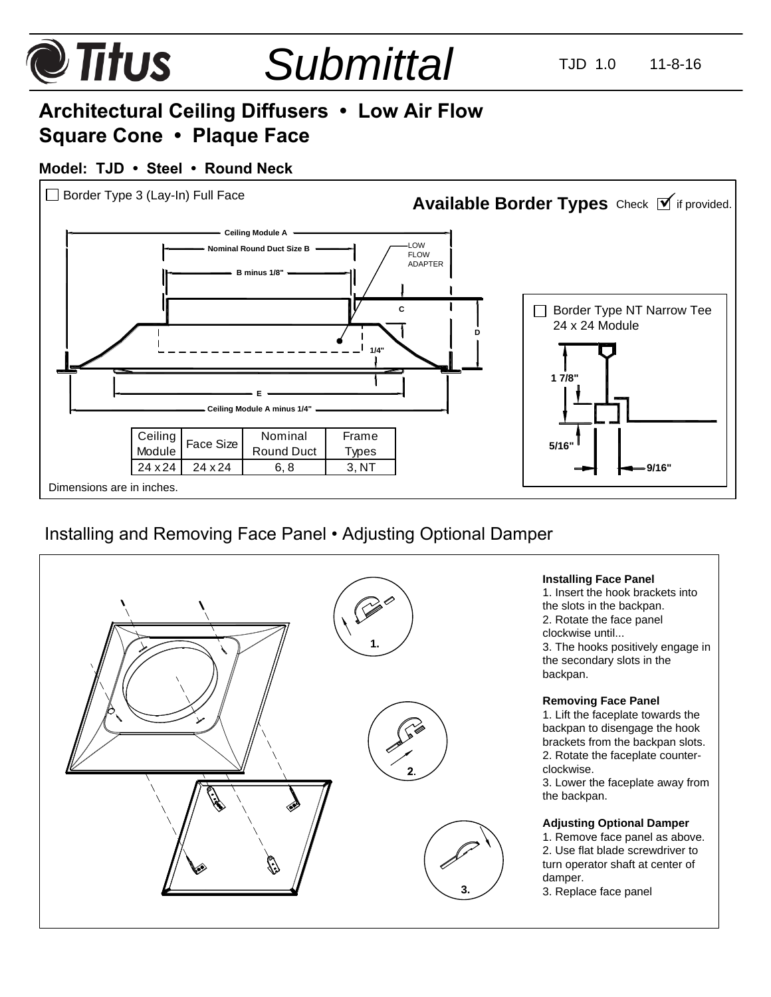#### **@Titus** *Submittal* TJD 1.0 11-8-16 **Architectural Ceiling Diffusers • Low Air Flow Square Cone • Plaque Face Model: TJD • Steel • Round Neck**  $\Box$  Border Type 3 (Lay-In) Full Face Available Border Types Check **M** if provided. **Ceiling Module A** LOW **Nominal Round Duct Size B** FLOW<br>ADAPTER **B minus 1/8" C** Border Type NT Narrow Tee 24 x 24 Module **D 1/4" 1 7/8" E Ceiling Module A minus 1/4"**

Frame Types

**5/16"**

## Installing and Removing Face Panel • Adjusting Optional Damper

Dimensions are in inches.

**Ceiling** 

Ceiling | Face Size | Nominal<br>Module | Face Size | Round Duct

 $24 \times 24$  24  $\times 24$  6,8 3, NT

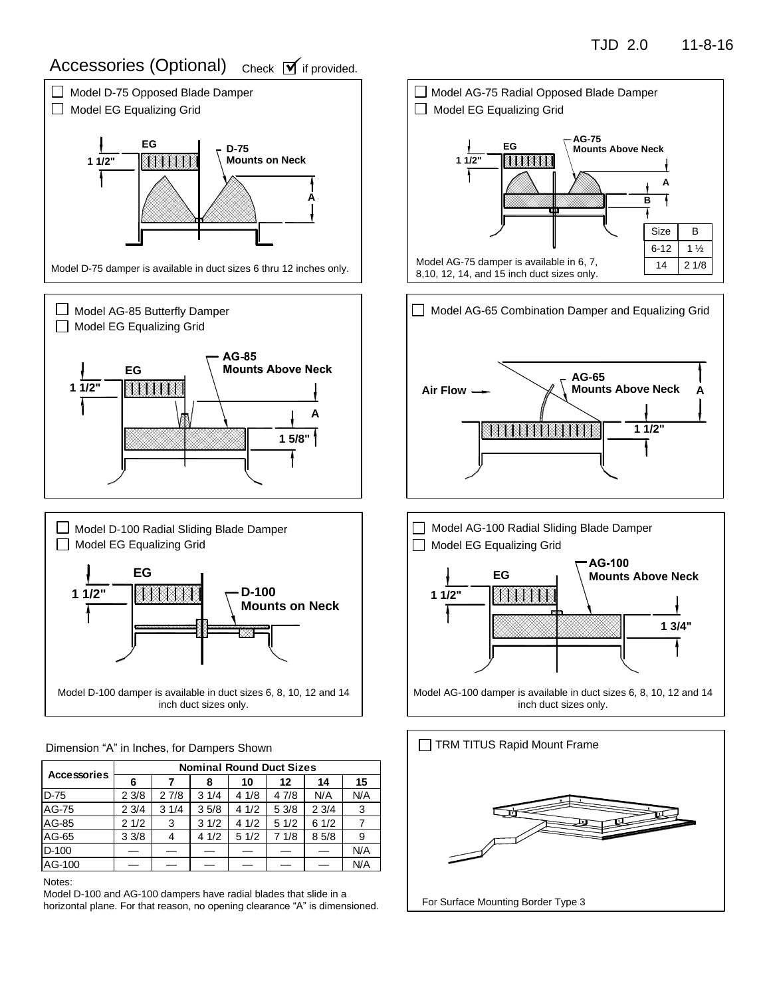# Accessories (Optional) check **M**if provided.



Model D-100 damper is available in duct sizes 6, 8, 10, 12 and 14 inch duct sizes only.

Dimension "A" in Inches, for Dampers Shown

| <b>Accessories</b> | <b>Nominal Round Duct Sizes</b> |      |      |      |      |      |     |
|--------------------|---------------------------------|------|------|------|------|------|-----|
|                    | 6                               |      | 8    | 10   | 12   | 14   | 15  |
| <b>D-75</b>        | 23/8                            | 27/8 | 31/4 | 41/8 | 47/8 | N/A  | N/A |
| <b>AG-75</b>       | 23/4                            | 31/4 | 35/8 | 41/2 | 53/8 | 23/4 | -3  |
| AG-85              | 21/2                            | 3    | 31/2 | 41/2 | 51/2 | 61/2 |     |
| AG-65              | 33/8                            | 4    | 41/2 | 51/2 | 71/8 | 85/8 | 9   |
| D-100              |                                 |      |      |      |      |      | N/A |
| AG-100             |                                 |      |      |      |      |      | N/A |

Notes:

Model D-100 and AG-100 dampers have radial blades that slide in a horizontal plane. For that reason, no opening clearance "A" is dimensioned.